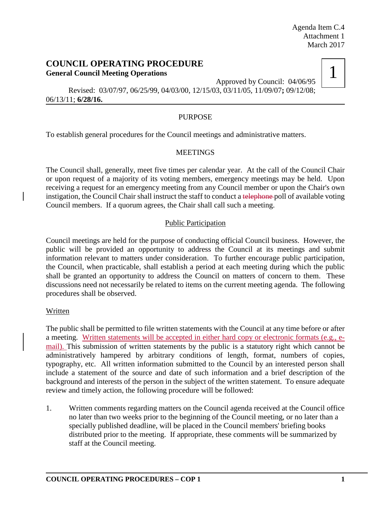## **COUNCIL OPERATING PROCEDURE General Council Meeting Operations**

Approved by Council: 04/06/95



Revised: 03/07/97, 06/25/99, 04/03/00, 12/15/03, 03/11/05, 11/09/07**;** 09/12/08; 06/13/11; **6/28/16.**

## PURPOSE

To establish general procedures for the Council meetings and administrative matters.

### **MEETINGS**

The Council shall, generally, meet five times per calendar year. At the call of the Council Chair or upon request of a majority of its voting members, emergency meetings may be held. Upon receiving a request for an emergency meeting from any Council member or upon the Chair's own instigation, the Council Chair shall instruct the staff to conduct a telephone poll of available voting Council members. If a quorum agrees, the Chair shall call such a meeting.

## Public Participation

Council meetings are held for the purpose of conducting official Council business. However, the public will be provided an opportunity to address the Council at its meetings and submit information relevant to matters under consideration. To further encourage public participation, the Council, when practicable, shall establish a period at each meeting during which the public shall be granted an opportunity to address the Council on matters of concern to them. These discussions need not necessarily be related to items on the current meeting agenda. The following procedures shall be observed.

### Written

The public shall be permitted to file written statements with the Council at any time before or after a meeting. Written statements will be accepted in either hard copy or electronic formats (e.g., email). This submission of written statements by the public is a statutory right which cannot be administratively hampered by arbitrary conditions of length, format, numbers of copies, typography, etc. All written information submitted to the Council by an interested person shall include a statement of the source and date of such information and a brief description of the background and interests of the person in the subject of the written statement. To ensure adequate review and timely action, the following procedure will be followed:

1. Written comments regarding matters on the Council agenda received at the Council office no later than two weeks prior to the beginning of the Council meeting, or no later than a specially published deadline, will be placed in the Council members' briefing books distributed prior to the meeting. If appropriate, these comments will be summarized by staff at the Council meeting.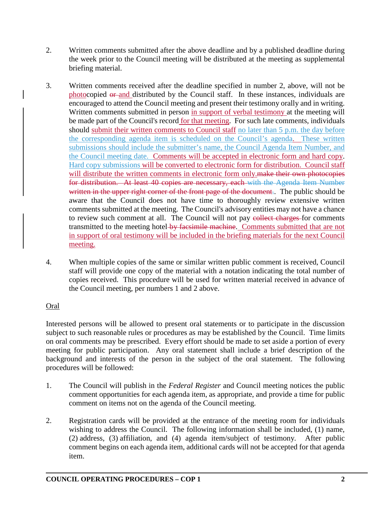- 2. Written comments submitted after the above deadline and by a published deadline during the week prior to the Council meeting will be distributed at the meeting as supplemental briefing material.
- 3. Written comments received after the deadline specified in number 2, above, will not be photocopied or and distributed by the Council staff. In these instances, individuals are encouraged to attend the Council meeting and present their testimony orally and in writing. Written comments submitted in person in support of verbal testimony at the meeting will be made part of the Council's record for that meeting. For such late comments, individuals should submit their written comments to Council staff no later than 5 p.m. the day before the corresponding agenda item is scheduled on the Council's agenda. These written submissions should include the submitter's name, the Council Agenda Item Number, and the Council meeting date. Comments will be accepted in electronic form and hard copy. Hard copy submissions will be converted to electronic form for distribution. Council staff will distribute the written comments in electronic form only. The their own photocopies for distribution. At least 40 copies are necessary, each with the Agenda Item Number written in the upper right corner of the front page of the document. The public should be aware that the Council does not have time to thoroughly review extensive written comments submitted at the meeting. The Council's advisory entities may not have a chance to review such comment at all. The Council will not pay e<del>ollect charges</del> for comments transmitted to the meeting hotel by facsimile machine. Comments submitted that are not in support of oral testimony will be included in the briefing materials for the next Council meeting.
- 4. When multiple copies of the same or similar written public comment is received, Council staff will provide one copy of the material with a notation indicating the total number of copies received. This procedure will be used for written material received in advance of the Council meeting, per numbers 1 and 2 above.

## Oral

Interested persons will be allowed to present oral statements or to participate in the discussion subject to such reasonable rules or procedures as may be established by the Council. Time limits on oral comments may be prescribed. Every effort should be made to set aside a portion of every meeting for public participation. Any oral statement shall include a brief description of the background and interests of the person in the subject of the oral statement. The following procedures will be followed:

- 1. The Council will publish in the *Federal Register* and Council meeting notices the public comment opportunities for each agenda item, as appropriate, and provide a time for public comment on items not on the agenda of the Council meeting.
- 2. Registration cards will be provided at the entrance of the meeting room for individuals wishing to address the Council. The following information shall be included, (1) name, (2) address, (3) affiliation, and (4) agenda item/subject of testimony. After public comment begins on each agenda item, additional cards will not be accepted for that agenda item.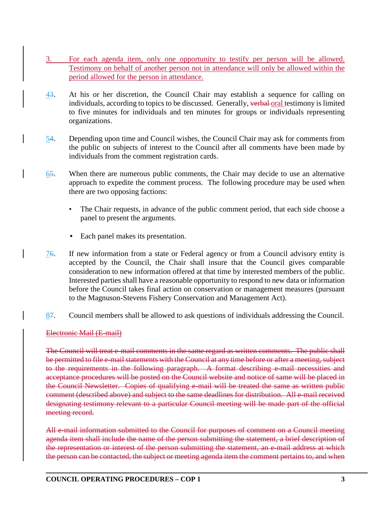- 3. For each agenda item, only one opportunity to testify per person will be allowed. Testimony on behalf of another person not in attendance will only be allowed within the period allowed for the person in attendance.
- 43. At his or her discretion, the Council Chair may establish a sequence for calling on individuals, according to topics to be discussed. Generally, verbal oral testimony is limited to five minutes for individuals and ten minutes for groups or individuals representing organizations.
- 54. Depending upon time and Council wishes, the Council Chair may ask for comments from the public on subjects of interest to the Council after all comments have been made by individuals from the comment registration cards.
- 65. When there are numerous public comments, the Chair may decide to use an alternative approach to expedite the comment process. The following procedure may be used when there are two opposing factions:
	- The Chair requests, in advance of the public comment period, that each side choose a panel to present the arguments.
	- Each panel makes its presentation.
- 76. If new information from a state or Federal agency or from a Council advisory entity is accepted by the Council, the Chair shall insure that the Council gives comparable consideration to new information offered at that time by interested members of the public. Interested parties shall have a reasonable opportunity to respond to new data or information before the Council takes final action on conservation or management measures (pursuant to the Magnuson-Stevens Fishery Conservation and Management Act).
- 87. Council members shall be allowed to ask questions of individuals addressing the Council.

### Electronic Mail (E-mail)

The Council will treat e-mail comments in the same regard as written comments. The public shall be permitted to file e-mail statements with the Council at any time before or after a meeting, subject to the requirements in the following paragraph. A format describing e-mail necessities and acceptance procedures will be posted on the Council website and notice of same will be placed in the Council Newsletter. Copies of qualifying e-mail will be treated the same as written public comment (described above) and subject to the same deadlines for distribution. All e-mail received designating testimony relevant to a particular Council meeting will be made part of the official meeting record.

All e-mail information submitted to the Council for purposes of comment on a Council meeting agenda item shall include the name of the person submitting the statement, a brief description of the representation or interest of the person submitting the statement, an e-mail address at which the person can be contacted, the subject or meeting agenda item the comment pertains to, and when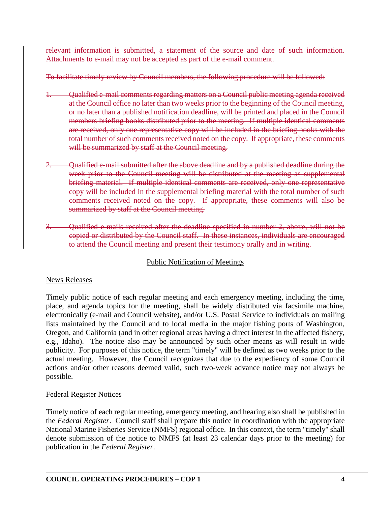relevant information is submitted, a statement of the source and date of such information. Attachments to e-mail may not be accepted as part of the e-mail comment.

To facilitate timely review by Council members, the following procedure will be followed:

- 1. Qualified e-mail comments regarding matters on a Council public meeting agenda received at the Council office no later than two weeks prior to the beginning of the Council meeting, or no later than a published notification deadline, will be printed and placed in the Council members briefing books distributed prior to the meeting. If multiple identical comments are received, only one representative copy will be included in the briefing books with the total number of such comments received noted on the copy. If appropriate, these comments will be summarized by staff at the Council meeting.
- Qualified e-mail submitted after the above deadline and by a published deadline during the week prior to the Council meeting will be distributed at the meeting as supplemental briefing material. If multiple identical comments are received, only one representative copy will be included in the supplemental briefing material with the total number of such comments received noted on the copy. If appropriate, these comments will also be summarized by staff at the Council meeting.
- 3. Qualified e-mails received after the deadline specified in number 2, above, will not be copied or distributed by the Council staff. In these instances, individuals are encouraged to attend the Council meeting and present their testimony orally and in writing.

# Public Notification of Meetings

## News Releases

Timely public notice of each regular meeting and each emergency meeting, including the time, place, and agenda topics for the meeting, shall be widely distributed via facsimile machine, electronically (e-mail and Council website), and/or U.S. Postal Service to individuals on mailing lists maintained by the Council and to local media in the major fishing ports of Washington, Oregon, and California (and in other regional areas having a direct interest in the affected fishery, e.g., Idaho). The notice also may be announced by such other means as will result in wide publicity. For purposes of this notice, the term "timely" will be defined as two weeks prior to the actual meeting. However, the Council recognizes that due to the expediency of some Council actions and/or other reasons deemed valid, such two-week advance notice may not always be possible.

## Federal Register Notices

Timely notice of each regular meeting, emergency meeting, and hearing also shall be published in the *Federal Register*. Council staff shall prepare this notice in coordination with the appropriate National Marine Fisheries Service (NMFS) regional office. In this context, the term "timely" shall denote submission of the notice to NMFS (at least 23 calendar days prior to the meeting) for publication in the *Federal Register*.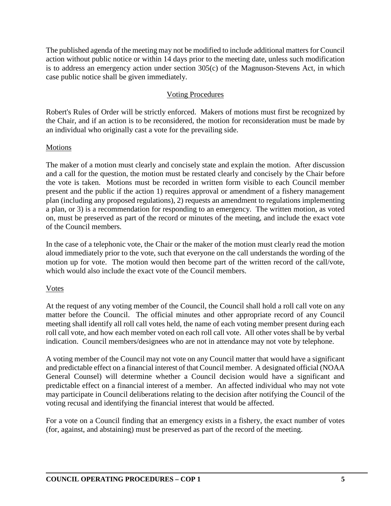The published agenda of the meeting may not be modified to include additional matters for Council action without public notice or within 14 days prior to the meeting date, unless such modification is to address an emergency action under section 305(c) of the Magnuson-Stevens Act, in which case public notice shall be given immediately.

## Voting Procedures

Robert's Rules of Order will be strictly enforced. Makers of motions must first be recognized by the Chair, and if an action is to be reconsidered, the motion for reconsideration must be made by an individual who originally cast a vote for the prevailing side.

### Motions

The maker of a motion must clearly and concisely state and explain the motion. After discussion and a call for the question, the motion must be restated clearly and concisely by the Chair before the vote is taken. Motions must be recorded in written form visible to each Council member present and the public if the action 1) requires approval or amendment of a fishery management plan (including any proposed regulations), 2) requests an amendment to regulations implementing a plan, or 3) is a recommendation for responding to an emergency. The written motion, as voted on, must be preserved as part of the record or minutes of the meeting, and include the exact vote of the Council members.

In the case of a telephonic vote, the Chair or the maker of the motion must clearly read the motion aloud immediately prior to the vote, such that everyone on the call understands the wording of the motion up for vote. The motion would then become part of the written record of the call/vote, which would also include the exact vote of the Council members.

### Votes

At the request of any voting member of the Council, the Council shall hold a roll call vote on any matter before the Council. The official minutes and other appropriate record of any Council meeting shall identify all roll call votes held, the name of each voting member present during each roll call vote, and how each member voted on each roll call vote. All other votes shall be by verbal indication. Council members/designees who are not in attendance may not vote by telephone.

A voting member of the Council may not vote on any Council matter that would have a significant and predictable effect on a financial interest of that Council member. A designated official (NOAA General Counsel) will determine whether a Council decision would have a significant and predictable effect on a financial interest of a member. An affected individual who may not vote may participate in Council deliberations relating to the decision after notifying the Council of the voting recusal and identifying the financial interest that would be affected.

For a vote on a Council finding that an emergency exists in a fishery, the exact number of votes (for, against, and abstaining) must be preserved as part of the record of the meeting.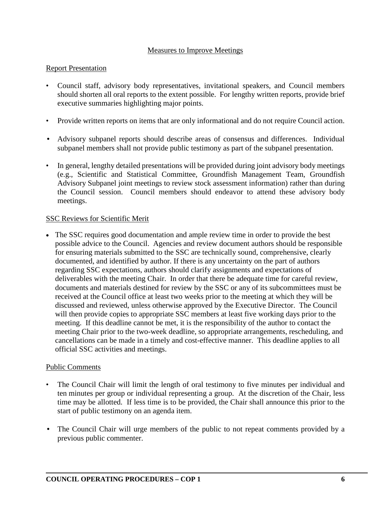#### Measures to Improve Meetings

#### Report Presentation

- Council staff, advisory body representatives, invitational speakers, and Council members should shorten all oral reports to the extent possible. For lengthy written reports, provide brief executive summaries highlighting major points.
- Provide written reports on items that are only informational and do not require Council action.
- Advisory subpanel reports should describe areas of consensus and differences. Individual subpanel members shall not provide public testimony as part of the subpanel presentation.
- In general, lengthy detailed presentations will be provided during joint advisory body meetings (e.g., Scientific and Statistical Committee, Groundfish Management Team, Groundfish Advisory Subpanel joint meetings to review stock assessment information) rather than during the Council session. Council members should endeavor to attend these advisory body meetings.

### SSC Reviews for Scientific Merit

• The SSC requires good documentation and ample review time in order to provide the best possible advice to the Council. Agencies and review document authors should be responsible for ensuring materials submitted to the SSC are technically sound, comprehensive, clearly documented, and identified by author. If there is any uncertainty on the part of authors regarding SSC expectations, authors should clarify assignments and expectations of deliverables with the meeting Chair. In order that there be adequate time for careful review, documents and materials destined for review by the SSC or any of its subcommittees must be received at the Council office at least two weeks prior to the meeting at which they will be discussed and reviewed, unless otherwise approved by the Executive Director. The Council will then provide copies to appropriate SSC members at least five working days prior to the meeting. If this deadline cannot be met, it is the responsibility of the author to contact the meeting Chair prior to the two-week deadline, so appropriate arrangements, rescheduling, and cancellations can be made in a timely and cost-effective manner. This deadline applies to all official SSC activities and meetings.

### Public Comments

- The Council Chair will limit the length of oral testimony to five minutes per individual and ten minutes per group or individual representing a group. At the discretion of the Chair, less time may be allotted. If less time is to be provided, the Chair shall announce this prior to the start of public testimony on an agenda item.
- The Council Chair will urge members of the public to not repeat comments provided by a previous public commenter.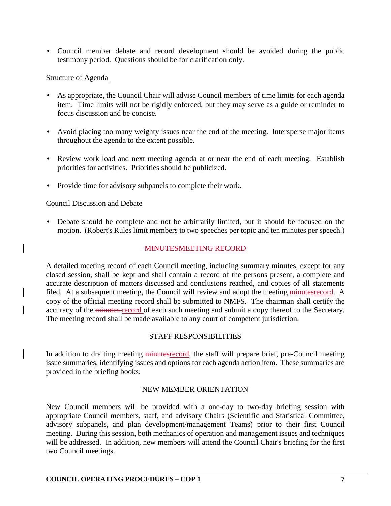• Council member debate and record development should be avoided during the public testimony period. Questions should be for clarification only.

#### Structure of Agenda

- As appropriate, the Council Chair will advise Council members of time limits for each agenda item. Time limits will not be rigidly enforced, but they may serve as a guide or reminder to focus discussion and be concise.
- Avoid placing too many weighty issues near the end of the meeting. Intersperse major items throughout the agenda to the extent possible.
- Review work load and next meeting agenda at or near the end of each meeting. Establish priorities for activities. Priorities should be publicized.
- Provide time for advisory subpanels to complete their work.

### Council Discussion and Debate

• Debate should be complete and not be arbitrarily limited, but it should be focused on the motion. (Robert's Rules limit members to two speeches per topic and ten minutes per speech.)

### MINUTESMEETING RECORD

A detailed meeting record of each Council meeting, including summary minutes, except for any closed session, shall be kept and shall contain a record of the persons present, a complete and accurate description of matters discussed and conclusions reached, and copies of all statements filed. At a subsequent meeting, the Council will review and adopt the meeting minutesrecord. A copy of the official meeting record shall be submitted to NMFS. The chairman shall certify the accuracy of the minutes record of each such meeting and submit a copy thereof to the Secretary. The meeting record shall be made available to any court of competent jurisdiction.

### STAFF RESPONSIBILITIES

In addition to drafting meeting minutesrecord, the staff will prepare brief, pre-Council meeting issue summaries, identifying issues and options for each agenda action item. These summaries are provided in the briefing books.

### NEW MEMBER ORIENTATION

New Council members will be provided with a one-day to two-day briefing session with appropriate Council members, staff, and advisory Chairs (Scientific and Statistical Committee, advisory subpanels, and plan development/management Teams) prior to their first Council meeting. During this session, both mechanics of operation and management issues and techniques will be addressed. In addition, new members will attend the Council Chair's briefing for the first two Council meetings.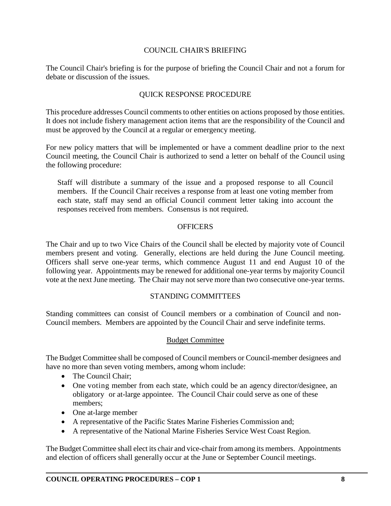#### COUNCIL CHAIR'S BRIEFING

The Council Chair's briefing is for the purpose of briefing the Council Chair and not a forum for debate or discussion of the issues.

#### QUICK RESPONSE PROCEDURE

This procedure addresses Council comments to other entities on actions proposed by those entities. It does not include fishery management action items that are the responsibility of the Council and must be approved by the Council at a regular or emergency meeting.

For new policy matters that will be implemented or have a comment deadline prior to the next Council meeting, the Council Chair is authorized to send a letter on behalf of the Council using the following procedure:

Staff will distribute a summary of the issue and a proposed response to all Council members. If the Council Chair receives a response from at least one voting member from each state, staff may send an official Council comment letter taking into account the responses received from members. Consensus is not required.

#### **OFFICERS**

The Chair and up to two Vice Chairs of the Council shall be elected by majority vote of Council members present and voting. Generally, elections are held during the June Council meeting. Officers shall serve one-year terms, which commence August 11 and end August 10 of the following year. Appointments may be renewed for additional one-year terms by majority Council vote at the next June meeting. The Chair may not serve more than two consecutive one-year terms.

#### STANDING COMMITTEES

Standing committees can consist of Council members or a combination of Council and non-Council members. Members are appointed by the Council Chair and serve indefinite terms.

#### Budget Committee

The Budget Committee shall be composed of Council members or Council-member designees and have no more than seven voting members, among whom include:

- The Council Chair:
- One voting member from each state, which could be an agency director/designee, an obligatory or at-large appointee. The Council Chair could serve as one of these members;
- One at-large member
- A representative of the Pacific States Marine Fisheries Commission and;
- A representative of the National Marine Fisheries Service West Coast Region.

The Budget Committee shall elect its chair and vice-chair from among its members. Appointments and election of officers shall generally occur at the June or September Council meetings.